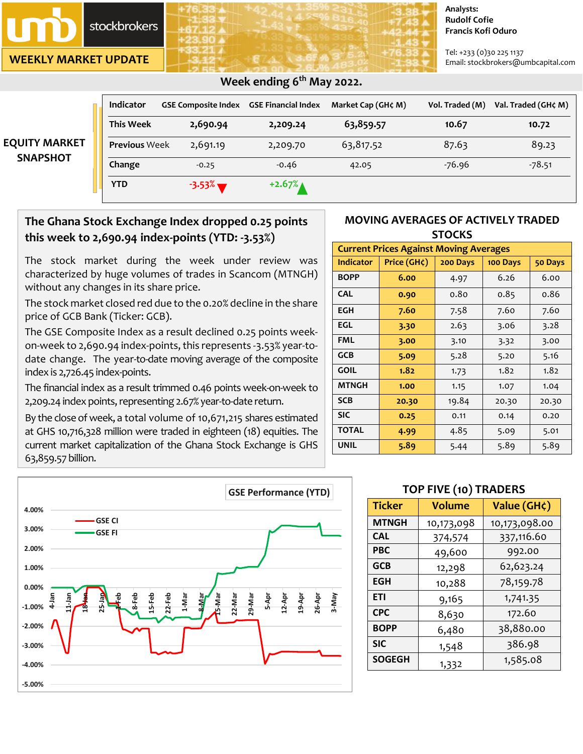# **stockbrokers**

**WEEKLY MARKET UPDATE**

#### **Analysts: Rudolf Cofie Francis Kofi Oduro**

Tel: +233 (0)30 225 1137 Email: stockbrokers@umbcapital.com

|                      | <b>Indicator</b>     | <b>GSE Composite Index</b> | <b>GSE Financial Index</b> | Market Cap (GH¢ M) | Vol. Traded (M) | Val. Traded (GH¢ M) |
|----------------------|----------------------|----------------------------|----------------------------|--------------------|-----------------|---------------------|
|                      | <b>This Week</b>     | 2,690.94                   | 2,209.24                   | 63,859.57          | 10.67           | 10.72               |
| <b>EQUITY MARKET</b> | <b>Previous Week</b> | 2,691.19                   | 2,209.70                   | 63,817.52          | 87.63           | 89.23               |
| <b>SNAPSHOT</b>      | Change               | $-0.25$                    | $-0.46$                    | 42.05              | $-76.96$        | $-78.51$            |
|                      | <b>YTD</b>           | $-3.53\%$                  | $+2.67%$                   |                    |                 |                     |

## *<b>Week ending 6<sup>th</sup> May 2022. Week ending 6<sup>th</sup> May 2022.*

# **The Ghana Stock Exchange Index dropped 0.25 points this week to 2,690.94 index-points (YTD: -3.53%)**

The stock market during the week under review was characterized by huge volumes of trades in Scancom (MTNGH) without any changes in its share price.

The stock market closed red due to the 0.20% decline in the share price of GCB Bank (Ticker: GCB).

The GSE Composite Index as a result declined 0.25 points weekon-week to 2,690.94 index-points, this represents -3.53% year-todate change. The year-to-date moving average of the composite index is 2,726.45 index-points.

The financial index as a result trimmed 0.46 points week-on-week to 2,209.24 index points, representing 2.67% year-to-date return.

By the close of week, a total volume of 10,671,215 shares estimated at GHS 10,716,328 million were traded in eighteen (18) equities. The current market capitalization of the Ghana Stock Exchange is GHS 63,859.57 billion.



### **MOVING AVERAGES OF ACTIVELY TRADED STOCKS**

| <b>Current Prices Against Moving Averages</b> |             |          |          |         |  |
|-----------------------------------------------|-------------|----------|----------|---------|--|
| <b>Indicator</b>                              | Price (GH¢) | 200 Days | 100 Days | 50 Days |  |
| <b>BOPP</b>                                   | 6.00        | 4.97     | 6.26     | 6.00    |  |
| <b>CAL</b>                                    | 0.90        | 0.80     | 0.85     | 0.86    |  |
| EGH                                           | 7.60        | 7.58     | 7.60     | 7.60    |  |
| EGL                                           | 3.30        | 2.63     | 3.06     | 3.28    |  |
| <b>FML</b>                                    | 3.00        | 3.10     | 3.32     | 3.00    |  |
| <b>GCB</b>                                    | 5.09        | 5.28     | 5.20     | 5.16    |  |
| <b>GOIL</b>                                   | 1.82        | 1.73     | 1.82     | 1.82    |  |
| <b>MTNGH</b>                                  | 1.00        | 1.15     | 1.07     | 1.04    |  |
| <b>SCB</b>                                    | 20.30       | 19.84    | 20.30    | 20.30   |  |
| <b>SIC</b>                                    | 0.25        | 0.11     | 0.14     | 0.20    |  |
| <b>TOTAL</b>                                  | 4.99        | 4.85     | 5.09     | 5.01    |  |
| <b>UNIL</b>                                   | 5.89        | 5.44     | 5.89     | 5.89    |  |

# **TOP FIVE (10) TRADERS**

| <b>Ticker</b> | <b>Volume</b> | Value (GH¢)   |
|---------------|---------------|---------------|
| <b>MTNGH</b>  | 10,173,098    | 10,173,098.00 |
| <b>CAL</b>    | 374,574       | 337,116.60    |
| <b>PBC</b>    | 49,600        | 992.00        |
| <b>GCB</b>    | 12,298        | 62,623.24     |
| <b>EGH</b>    | 10,288        | 78,159.78     |
| <b>ETI</b>    | 9,165         | 1,741.35      |
| <b>CPC</b>    | 8,630         | 172.60        |
| <b>BOPP</b>   | 6,480         | 38,880.00     |
| <b>SIC</b>    | 1,548         | 386.98        |
| <b>SOGEGH</b> | 1,332         | 1,585.08      |